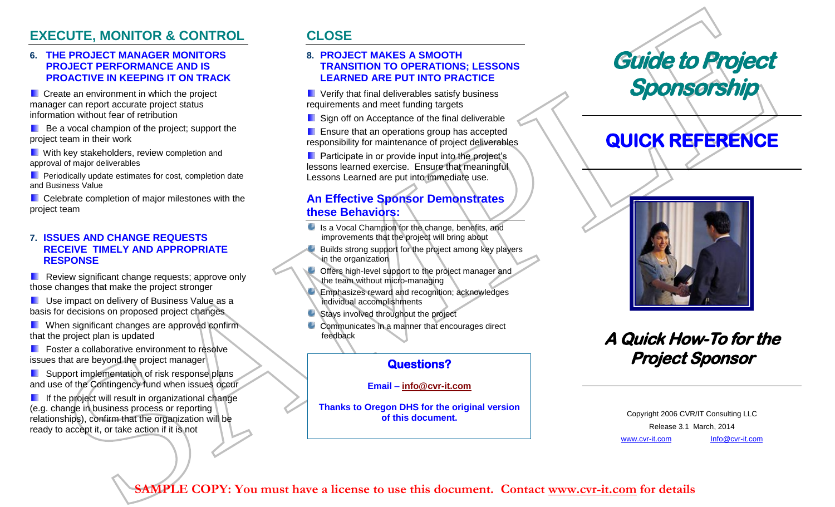### **EXECUTE, MONITOR & CONTROL**

#### **6. THE PROJECT MANAGER MONITORS PROJECT PERFORMANCE AND IS PROACTIVE IN KEEPING IT ON TRACK**

**Create an environment in which the project** manager can report accurate project status information without fear of retribution

**Be a vocal champion of the project; support the** project team in their work

**With key stakeholders, review completion and** approval of major deliverables

**Periodically update estimates for cost, completion date** and Business Value

**Celebrate completion of major milestones with the** project team

### **7. ISSUES AND CHANGE REQUESTS RECEIVE TIMELY AND APPROPRIATE RESPONSE**

**Review significant change requests; approve only** those changes that make the project stronger

**USE** Use impact on delivery of Business Value as a basis for decisions on proposed project changes

**Now When significant changes are approved confirm.** that the project plan is updated

**Foster a collaborative environment to resolve** issues that are beyond the project manager

**Support implementation of risk response plans** and use of the Contingency fund when issues occur

**If the project will result in organizational change** (e.g. change in business process or reporting relationships), confirm that the organization will be ready to accept it, or take action if it is not

### **CLOSE**

### **8. PROJECT MAKES A SMOOTH TRANSITION TO OPERATIONS; LESSONS LEARNED ARE PUT INTO PRACTICE**

**L** Verify that final deliverables satisfy business requirements and meet funding targets

Sign off on Acceptance of the final deliverable

**E** Ensure that an operations group has accepted responsibility for maintenance of project deliverables

**Participate in or provide input into the project's** lessons learned exercise. Ensure that meaningful Lessons Learned are put into immediate use.

### **An Effective Sponsor Demonstrates these Behaviors:**

**Is a Vocal Champion for the change, benefits, and** improvements that the project will bring about

**Builds strong support for the project among key players** in the organization

- Offers high-level support to the project manager and the team without micro-managing
- Emphasizes reward and recognition; acknowledges individual accomplishments
- **Stays involved throughout the project**
- Communicates in a manner that encourages direct feedback

### **Questions?**

**Email** – **info@cvr-it.com**

**Thanks to Oregon DHS for the original version of this document.** 

# **Guide to Project Sponsorship**

# **QUICK REFERENCE**



 $\Delta$ 

 $\overline{\phantom{a}}$ 

## **A Quick How-To for the Project Sponsor**

Copyright 2006 CVR/IT Consulting LLC Release 3.1 March, 2014 www.cvr-it.com Info@cvr-it.com